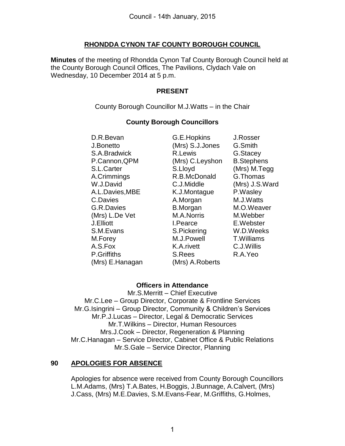### **RHONDDA CYNON TAF COUNTY BOROUGH COUNCIL**

**Minutes** of the meeting of Rhondda Cynon Taf County Borough Council held at the County Borough Council Offices, The Pavilions, Clydach Vale on Wednesday, 10 December 2014 at 5 p.m.

#### **PRESENT**

County Borough Councillor M.J.Watts – in the Chair

## **County Borough Councillors**

(Mrs) E.Hanagan(Mrs) A.Roberts

**D.R.Bevan G.E.Hopkins J.Rosser**  J.Bonetto (Mrs) S.J.Jones G.Smith **S.A.Bradwick B.Lewis G.Stacey**  P.Cannon,QPM (Mrs) C.Leyshon B.Stephens S.L.Carter S.Lloyd (Mrs) M.Tegg A.Crimmings R.B.McDonald G.Thomas W.J.David C.J.Middle (Mrs) J.S.Ward A.L.Davies,MBE K.J.Montague P.Wasley C.Davies **A.Morgan** M.J.Watts G.R.Davies **B.Morgan** M.O.Weaver (Mrs) L.De Vet M.A.Norris M.Webber J.Elliott I.Pearce E.Webster S.M.Evans S.Pickering W.D.Weeks M.Forey M.J.Powell T.Williams A.S.Fox K.A.rivett C.J.Willis P.Griffiths S.Rees R.A.Yeo

## **Officers in Attendance**

Mr.S.Merritt – Chief Executive Mr.C.Lee – Group Director, Corporate & Frontline Services Mr.G.Isingrini – Group Director, Community & Children's Services Mr.P.J.Lucas – Director, Legal & Democratic Services Mr.T.Wilkins – Director, Human Resources Mrs.J.Cook – Director, Regeneration & Planning Mr.C.Hanagan – Service Director, Cabinet Office & Public Relations Mr.S.Gale – Service Director, Planning

## **90 APOLOGIES FOR ABSENCE**

Apologies for absence were received from County Borough Councillors L.M.Adams, (Mrs) T.A.Bates, H.Boggis, J.Bunnage, A.Calvert, (Mrs) J.Cass, (Mrs) M.E.Davies, S.M.Evans-Fear, M.Griffiths, G.Holmes,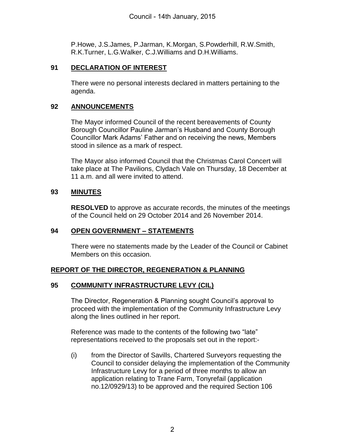P.Howe, J.S.James, P.Jarman, K.Morgan, S.Powderhill, R.W.Smith, R.K.Turner, L.G.Walker, C.J.Williams and D.H.Williams.

#### **91 DECLARATION OF INTEREST**

There were no personal interests declared in matters pertaining to the agenda.

### **92 ANNOUNCEMENTS**

The Mayor informed Council of the recent bereavements of County Borough Councillor Pauline Jarman's Husband and County Borough Councillor Mark Adams' Father and on receiving the news, Members stood in silence as a mark of respect.

The Mayor also informed Council that the Christmas Carol Concert will take place at The Pavilions, Clydach Vale on Thursday, 18 December at 11 a.m. and all were invited to attend.

#### **93 MINUTES**

**RESOLVED** to approve as accurate records, the minutes of the meetings of the Council held on 29 October 2014 and 26 November 2014.

#### **94 OPEN GOVERNMENT – STATEMENTS**

There were no statements made by the Leader of the Council or Cabinet Members on this occasion.

## **REPORT OF THE DIRECTOR, REGENERATION & PLANNING**

#### **95 COMMUNITY INFRASTRUCTURE LEVY (CIL)**

The Director, Regeneration & Planning sought Council's approval to proceed with the implementation of the Community Infrastructure Levy along the lines outlined in her report.

Reference was made to the contents of the following two "late" representations received to the proposals set out in the report:-

(i) from the Director of Savills, Chartered Surveyors requesting the Council to consider delaying the implementation of the Community Infrastructure Levy for a period of three months to allow an application relating to Trane Farm, Tonyrefail (application no.12/0929/13) to be approved and the required Section 106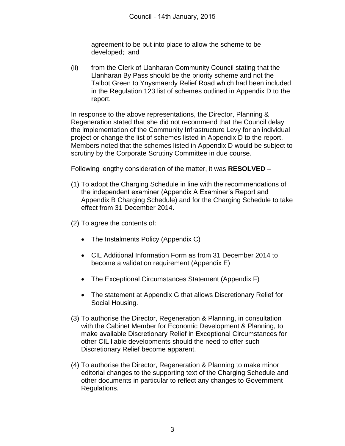agreement to be put into place to allow the scheme to be developed; and

(ii) from the Clerk of Llanharan Community Council stating that the Llanharan By Pass should be the priority scheme and not the Talbot Green to Ynysmaerdy Relief Road which had been included in the Regulation 123 list of schemes outlined in Appendix D to the report.

In response to the above representations, the Director, Planning & Regeneration stated that she did not recommend that the Council delay the implementation of the Community Infrastructure Levy for an individual project or change the list of schemes listed in Appendix D to the report. Members noted that the schemes listed in Appendix D would be subject to scrutiny by the Corporate Scrutiny Committee in due course.

Following lengthy consideration of the matter, it was **RESOLVED** –

- (1) To adopt the Charging Schedule in line with the recommendations of the independent examiner (Appendix A Examiner's Report and Appendix B Charging Schedule) and for the Charging Schedule to take effect from 31 December 2014.
- (2) To agree the contents of:
	- The Instalments Policy (Appendix C)
	- CIL Additional Information Form as from 31 December 2014 to become a validation requirement (Appendix E)
	- The Exceptional Circumstances Statement (Appendix F)
	- The statement at Appendix G that allows Discretionary Relief for Social Housing.
- (3) To authorise the Director, Regeneration & Planning, in consultation with the Cabinet Member for Economic Development & Planning, to make available Discretionary Relief in Exceptional Circumstances for other CIL liable developments should the need to offer such Discretionary Relief become apparent.
- (4) To authorise the Director, Regeneration & Planning to make minor editorial changes to the supporting text of the Charging Schedule and other documents in particular to reflect any changes to Government Regulations.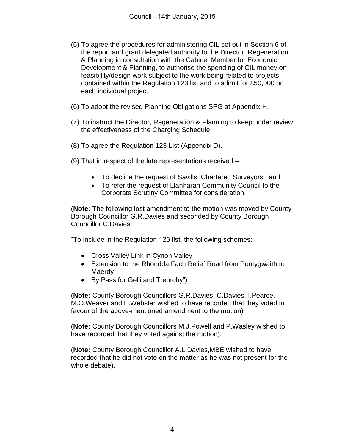- (5) To agree the procedures for administering CIL set out in Section 6 of the report and grant delegated authority to the Director, Regeneration & Planning in consultation with the Cabinet Member for Economic Development & Planning, to authorise the spending of CIL money on feasibility/design work subject to the work being related to projects contained within the Regulation 123 list and to a limit for £50,000 on each individual project.
- (6) To adopt the revised Planning Obligations SPG at Appendix H.
- (7) To instruct the Director, Regeneration & Planning to keep under review the effectiveness of the Charging Schedule.
- (8) To agree the Regulation 123 List (Appendix D).
- (9) That in respect of the late representations received
	- To decline the request of Savills, Chartered Surveyors; and
	- To refer the request of Llanharan Community Council to the Corporate Scrutiny Committee for consideration.

(**Note:** The following lost amendment to the motion was moved by County Borough Councillor G.R.Davies and seconded by County Borough Councillor C.Davies:

"To include in the Regulation 123 list, the following schemes:

- Cross Valley Link in Cynon Valley
- Extension to the Rhondda Fach Relief Road from Pontygwaith to **Maerdy**
- By Pass for Gelli and Treorchy")

(**Note:** County Borough Councillors G.R.Davies, C.Davies, I.Pearce, M.O.Weaver and E.Webster wished to have recorded that they voted in favour of the above-mentioned amendment to the motion)

(**Note:** County Borough Councillors M.J.Powell and P.Wasley wished to have recorded that they voted against the motion).

(**Note:** County Borough Councillor A.L.Davies,MBE wished to have recorded that he did not vote on the matter as he was not present for the whole debate).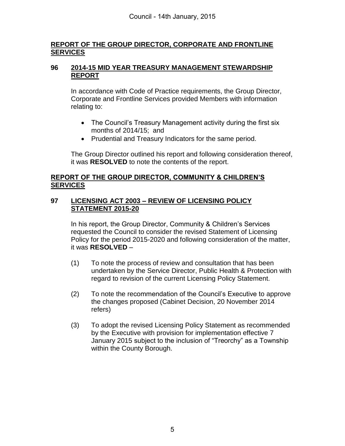## **REPORT OF THE GROUP DIRECTOR, CORPORATE AND FRONTLINE SERVICES**

#### **96 2014-15 MID YEAR TREASURY MANAGEMENT STEWARDSHIP REPORT**

In accordance with Code of Practice requirements, the Group Director, Corporate and Frontline Services provided Members with information relating to:

- The Council's Treasury Management activity during the first six months of 2014/15; and
- Prudential and Treasury Indicators for the same period.

The Group Director outlined his report and following consideration thereof, it was **RESOLVED** to note the contents of the report.

### **REPORT OF THE GROUP DIRECTOR, COMMUNITY & CHILDREN'S SERVICES**

#### **97 LICENSING ACT 2003 – REVIEW OF LICENSING POLICY STATEMENT 2015-20**

In his report, the Group Director, Community & Children's Services requested the Council to consider the revised Statement of Licensing Policy for the period 2015-2020 and following consideration of the matter, it was **RESOLVED** –

- (1) To note the process of review and consultation that has been undertaken by the Service Director, Public Health & Protection with regard to revision of the current Licensing Policy Statement.
- (2) To note the recommendation of the Council's Executive to approve the changes proposed (Cabinet Decision, 20 November 2014 refers)
- (3) To adopt the revised Licensing Policy Statement as recommended by the Executive with provision for implementation effective 7 January 2015 subject to the inclusion of "Treorchy" as a Township within the County Borough.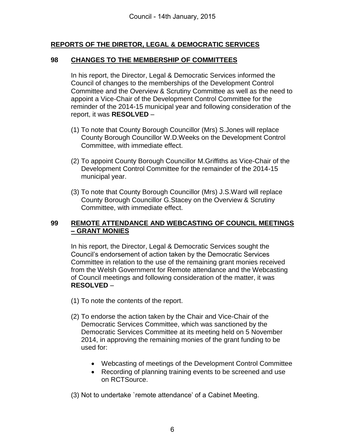## **REPORTS OF THE DIRETOR, LEGAL & DEMOCRATIC SERVICES**

### **98 CHANGES TO THE MEMBERSHIP OF COMMITTEES**

In his report, the Director, Legal & Democratic Services informed the Council of changes to the memberships of the Development Control Committee and the Overview & Scrutiny Committee as well as the need to appoint a Vice-Chair of the Development Control Committee for the reminder of the 2014-15 municipal year and following consideration of the report, it was **RESOLVED** –

- (1) To note that County Borough Councillor (Mrs) S.Jones will replace County Borough Councillor W.D.Weeks on the Development Control Committee, with immediate effect.
- (2) To appoint County Borough Councillor M.Griffiths as Vice-Chair of the Development Control Committee for the remainder of the 2014-15 municipal year.
- (3) To note that County Borough Councillor (Mrs) J.S.Ward will replace County Borough Councillor G.Stacey on the Overview & Scrutiny Committee, with immediate effect.

### **99 REMOTE ATTENDANCE AND WEBCASTING OF COUNCIL MEETINGS – GRANT MONIES**

In his report, the Director, Legal & Democratic Services sought the Council's endorsement of action taken by the Democratic Services Committee in relation to the use of the remaining grant monies received from the Welsh Government for Remote attendance and the Webcasting of Council meetings and following consideration of the matter, it was **RESOLVED** –

- (1) To note the contents of the report.
- (2) To endorse the action taken by the Chair and Vice-Chair of the Democratic Services Committee, which was sanctioned by the Democratic Services Committee at its meeting held on 5 November 2014, in approving the remaining monies of the grant funding to be used for:
	- Webcasting of meetings of the Development Control Committee
	- Recording of planning training events to be screened and use on RCTSource.

(3) Not to undertake `remote attendance' of a Cabinet Meeting.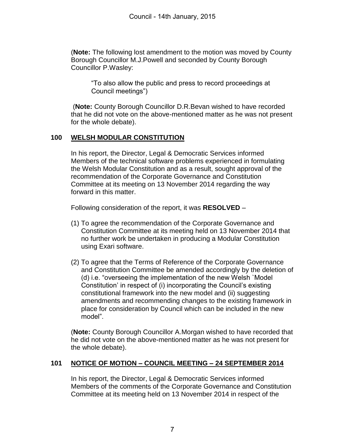(**Note:** The following lost amendment to the motion was moved by County Borough Councillor M.J.Powell and seconded by County Borough Councillor P.Wasley:

"To also allow the public and press to record proceedings at Council meetings")

 (**Note:** County Borough Councillor D.R.Bevan wished to have recorded that he did not vote on the above-mentioned matter as he was not present for the whole debate).

# **100 WELSH MODULAR CONSTITUTION**

In his report, the Director, Legal & Democratic Services informed Members of the technical software problems experienced in formulating the Welsh Modular Constitution and as a result, sought approval of the recommendation of the Corporate Governance and Constitution Committee at its meeting on 13 November 2014 regarding the way forward in this matter.

Following consideration of the report, it was **RESOLVED** –

- (1) To agree the recommendation of the Corporate Governance and Constitution Committee at its meeting held on 13 November 2014 that no further work be undertaken in producing a Modular Constitution using Exari software.
- (2) To agree that the Terms of Reference of the Corporate Governance and Constitution Committee be amended accordingly by the deletion of (d) i.e. "overseeing the implementation of the new Welsh `Model Constitution' in respect of (i) incorporating the Council's existing constitutional framework into the new model and (ii) suggesting amendments and recommending changes to the existing framework in place for consideration by Council which can be included in the new model".

(**Note:** County Borough Councillor A.Morgan wished to have recorded that he did not vote on the above-mentioned matter as he was not present for the whole debate).

## **101 NOTICE OF MOTION – COUNCIL MEETING – 24 SEPTEMBER 2014**

In his report, the Director, Legal & Democratic Services informed Members of the comments of the Corporate Governance and Constitution Committee at its meeting held on 13 November 2014 in respect of the